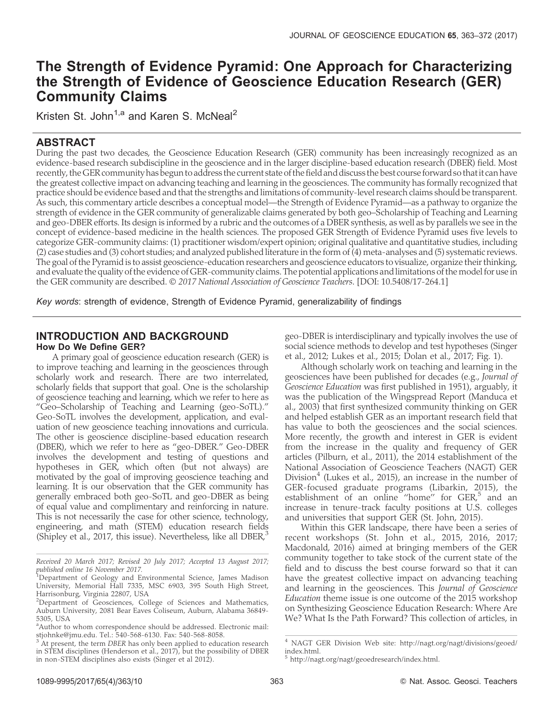# The Strength of Evidence Pyramid: One Approach for Characterizing the Strength of Evidence of Geoscience Education Research (GER) Community Claims

Kristen St. John<sup>1,a</sup> and Karen S. McNeal<sup>2</sup>

# ABSTRACT

During the past two decades, the Geoscience Education Research (GER) community has been increasingly recognized as an evidence-based research subdiscipline in the geoscience and in the larger discipline-based education research (DBER) field. Most recently, theGER community has begun to address the current state of the field and discuss the best courseforward so thatit can have the greatest collective impact on advancing teaching and learning in the geosciences. The community has formally recognized that practice should be evidence based and that the strengths and limitations of community-level research claims should be transparent. As such, this commentary article describes a conceptual model—the Strength of Evidence Pyramid—as a pathway to organize the strength of evidence in the GER community of generalizable claims generated by both geo–Scholarship of Teaching and Learning and geo-DBER efforts. Its design is informed by a rubric and the outcomes of a DBER synthesis, as well as by parallels we see in the concept of evidence-based medicine in the health sciences. The proposed GER Strength of Evidence Pyramid uses five levels to categorize GER-community claims: (1) practitioner wisdom/expert opinion; original qualitative and quantitative studies, including (2) case studies and (3) cohort studies; and analyzed published literature in the form of (4) meta-analyses and (5) systematic reviews. The goal of the Pyramid is to assist geoscience-education researchers and geoscience educators to visualize, organize their thinking, and evaluate the quality of the evidence of GER-community claims. The potential applications and limitations of the model for use in the GER community are described. © 2017 National Association of Geoscience Teachers. [DOI: 10.5408/17-264.1]

Key words: strength of evidence, Strength of Evidence Pyramid, generalizability of findings

## INTRODUCTION AND BACKGROUND How Do We Define GER?

A primary goal of geoscience education research (GER) is to improve teaching and learning in the geosciences through scholarly work and research. There are two interrelated, scholarly fields that support that goal. One is the scholarship of geoscience teaching and learning, which we refer to here as ''Geo–Scholarship of Teaching and Learning (geo-SoTL).'' Geo-SoTL involves the development, application, and evaluation of new geoscience teaching innovations and curricula. The other is geoscience discipline-based education research (DBER), which we refer to here as ''geo-DBER.'' Geo-DBER involves the development and testing of questions and hypotheses in GER, which often (but not always) are motivated by the goal of improving geoscience teaching and learning. It is our observation that the GER community has generally embraced both geo-SoTL and geo-DBER as being of equal value and complimentary and reinforcing in nature. This is not necessarily the case for other science, technology, engineering, and math (STEM) education research fields (Shipley et al., 2017, this issue). Nevertheless, like all  $\rm{DBER}^3$ 

geo-DBER is interdisciplinary and typically involves the use of social science methods to develop and test hypotheses (Singer et al., 2012; Lukes et al., 2015; Dolan et al., 2017; Fig. 1).

Although scholarly work on teaching and learning in the geosciences have been published for decades (e.g., Journal of Geoscience Education was first published in 1951), arguably, it was the publication of the Wingspread Report (Manduca et al., 2003) that first synthesized community thinking on GER and helped establish GER as an important research field that has value to both the geosciences and the social sciences. More recently, the growth and interest in GER is evident from the increase in the quality and frequency of GER articles (Pilburn, et al., 2011), the 2014 establishment of the National Association of Geoscience Teachers (NAGT) GER Division $4$  (Lukes et al., 2015), an increase in the number of GER-focused graduate programs (Libarkin, 2015), the establishment of an online "home" for  $GER<sub>2</sub>$ <sup>5</sup> and an increase in tenure-track faculty positions at U.S. colleges and universities that support GER (St. John, 2015).

Within this GER landscape, there have been a series of recent workshops (St. John et al., 2015, 2016, 2017; Macdonald, 2016) aimed at bringing members of the GER community together to take stock of the current state of the field and to discuss the best course forward so that it can have the greatest collective impact on advancing teaching and learning in the geosciences. This Journal of Geoscience Education theme issue is one outcome of the 2015 workshop on Synthesizing Geoscience Education Research: Where Are We? What Is the Path Forward? This collection of articles, in

Received 20 March 2017; Revised 20 July 2017; Accepted 13 August 2017; published online 16 November 2017.

<sup>&</sup>lt;sup>1</sup>Department of Geology and Environmental Science, James Madison University, Memorial Hall 7335, MSC 6903, 395 South High Street, Harrisonburg, Virginia 22807, USA

<sup>&</sup>lt;sup>2</sup>Department of Geosciences, College of Sciences and Mathematics, Auburn University, 2081 Bear Eaves Coliseum, Auburn, Alabama 36849- 5305, USA

<sup>&</sup>lt;sup>a</sup> Author to whom correspondence should be addressed. Electronic mail: stjohnke@jmu.edu. Tel.: 540-568-6130. Fax: 540-568-8058.

<sup>&</sup>lt;sup>3</sup> At present, the term DBER has only been applied to education research in STEM disciplines (Henderson et al., 2017), but the possibility of DBER in non-STEM disciplines also exists (Singer et al 2012).

 $^4\,$  NAGT GER Division Web site: http://nagt.org/nagt/divisions/geoed/ index.html.

<sup>&</sup>lt;sup>5</sup> http://nagt.org/nagt/geoedresearch/index.html.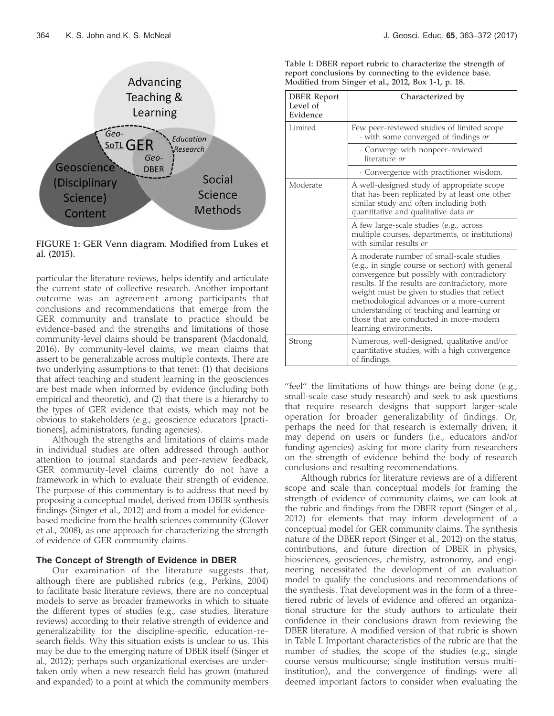

FIGURE 1: GER Venn diagram. Modified from Lukes et al. (2015).

particular the literature reviews, helps identify and articulate the current state of collective research. Another important outcome was an agreement among participants that conclusions and recommendations that emerge from the GER community and translate to practice should be evidence-based and the strengths and limitations of those community-level claims should be transparent (Macdonald, 2016). By community-level claims, we mean claims that assert to be generalizable across multiple contexts. There are two underlying assumptions to that tenet: (1) that decisions that affect teaching and student learning in the geosciences are best made when informed by evidence (including both empirical and theoretic), and (2) that there is a hierarchy to the types of GER evidence that exists, which may not be obvious to stakeholders (e.g., geoscience educators [practitioners], administrators, funding agencies).

Although the strengths and limitations of claims made in individual studies are often addressed through author attention to journal standards and peer-review feedback, GER community-level claims currently do not have a framework in which to evaluate their strength of evidence. The purpose of this commentary is to address that need by proposing a conceptual model, derived from DBER synthesis findings (Singer et al., 2012) and from a model for evidencebased medicine from the health sciences community (Glover et al., 2008), as one approach for characterizing the strength of evidence of GER community claims.

## The Concept of Strength of Evidence in DBER

Our examination of the literature suggests that, although there are published rubrics (e.g., Perkins, 2004) to facilitate basic literature reviews, there are no conceptual models to serve as broader frameworks in which to situate the different types of studies (e.g., case studies, literature reviews) according to their relative strength of evidence and generalizability for the discipline-specific, education-research fields. Why this situation exists is unclear to us. This may be due to the emerging nature of DBER itself (Singer et al., 2012); perhaps such organizational exercises are undertaken only when a new research field has grown (matured and expanded) to a point at which the community members

Table I: DBER report rubric to characterize the strength of report conclusions by connecting to the evidence base. Modified from Singer et al., 2012, Box 1-1, p. 18.

| <b>DBER Report</b><br>Level of<br>Evidence | Characterized by                                                                                                                                                                                                                                                                                                                                                                                              |
|--------------------------------------------|---------------------------------------------------------------------------------------------------------------------------------------------------------------------------------------------------------------------------------------------------------------------------------------------------------------------------------------------------------------------------------------------------------------|
| Limited                                    | Few peer-reviewed studies of limited scope<br>· with some converged of findings or                                                                                                                                                                                                                                                                                                                            |
|                                            | · Converge with nonpeer-reviewed<br>literature or                                                                                                                                                                                                                                                                                                                                                             |
|                                            | · Convergence with practitioner wisdom.                                                                                                                                                                                                                                                                                                                                                                       |
| Moderate                                   | A well-designed study of appropriate scope<br>that has been replicated by at least one other<br>similar study and often including both<br>quantitative and qualitative data or                                                                                                                                                                                                                                |
|                                            | A few large-scale studies (e.g., across<br>multiple courses, departments, or institutions)<br>with similar results or                                                                                                                                                                                                                                                                                         |
|                                            | A moderate number of small-scale studies<br>(e.g., in single course or section) with general<br>convergence but possibly with contradictory<br>results. If the results are contradictory, more<br>weight must be given to studies that reflect<br>methodological advances or a more-current<br>understanding of teaching and learning or<br>those that are conducted in more-modern<br>learning environments. |
| Strong                                     | Numerous, well-designed, qualitative and/or<br>quantitative studies, with a high convergence<br>of findings.                                                                                                                                                                                                                                                                                                  |

"feel" the limitations of how things are being done (e.g., small-scale case study research) and seek to ask questions that require research designs that support larger-scale operation for broader generalizability of findings. Or, perhaps the need for that research is externally driven; it may depend on users or funders (i.e., educators and/or funding agencies) asking for more clarity from researchers on the strength of evidence behind the body of research conclusions and resulting recommendations.

Although rubrics for literature reviews are of a different scope and scale than conceptual models for framing the strength of evidence of community claims, we can look at the rubric and findings from the DBER report (Singer et al., 2012) for elements that may inform development of a conceptual model for GER community claims. The synthesis nature of the DBER report (Singer et al., 2012) on the status, contributions, and future direction of DBER in physics, biosciences, geosciences, chemistry, astronomy, and engineering necessitated the development of an evaluation model to qualify the conclusions and recommendations of the synthesis. That development was in the form of a threetiered rubric of levels of evidence and offered an organizational structure for the study authors to articulate their confidence in their conclusions drawn from reviewing the DBER literature. A modified version of that rubric is shown in Table I. Important characteristics of the rubric are that the number of studies, the scope of the studies (e.g., single course versus multicourse; single institution versus multiinstitution), and the convergence of findings were all deemed important factors to consider when evaluating the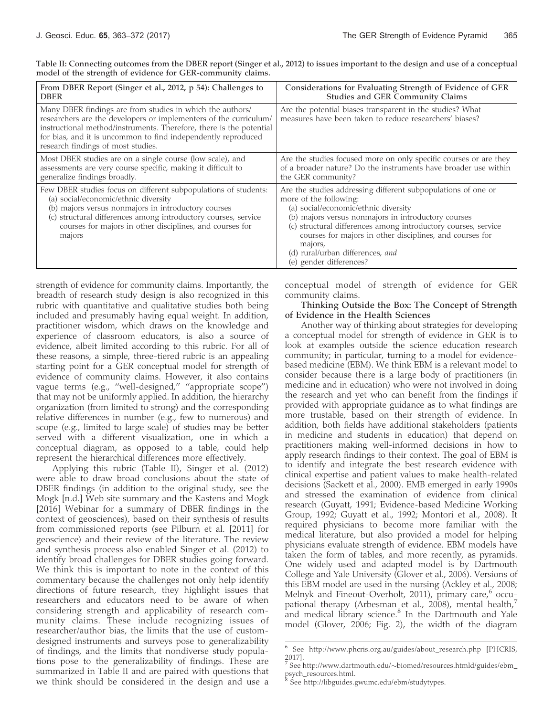Table II: Connecting outcomes from the DBER report (Singer et al., 2012) to issues important to the design and use of a conceptual model of the strength of evidence for GER-community claims.

| From DBER Report (Singer et al., 2012, p 54): Challenges to                                                                                                                                                                                                                                                  | Considerations for Evaluating Strength of Evidence of GER                                                                                                                                                                                                                                                                                                                                      |
|--------------------------------------------------------------------------------------------------------------------------------------------------------------------------------------------------------------------------------------------------------------------------------------------------------------|------------------------------------------------------------------------------------------------------------------------------------------------------------------------------------------------------------------------------------------------------------------------------------------------------------------------------------------------------------------------------------------------|
| <b>DBER</b>                                                                                                                                                                                                                                                                                                  | <b>Studies and GER Community Claims</b>                                                                                                                                                                                                                                                                                                                                                        |
| Many DBER findings are from studies in which the authors/<br>researchers are the developers or implementers of the curriculum/<br>instructional method/instruments. Therefore, there is the potential<br>for bias, and it is uncommon to find independently reproduced<br>research findings of most studies. | Are the potential biases transparent in the studies? What<br>measures have been taken to reduce researchers' biases?                                                                                                                                                                                                                                                                           |
| Most DBER studies are on a single course (low scale), and                                                                                                                                                                                                                                                    | Are the studies focused more on only specific courses or are they                                                                                                                                                                                                                                                                                                                              |
| assessments are very course specific, making it difficult to                                                                                                                                                                                                                                                 | of a broader nature? Do the instruments have broader use within                                                                                                                                                                                                                                                                                                                                |
| generalize findings broadly.                                                                                                                                                                                                                                                                                 | the GER community?                                                                                                                                                                                                                                                                                                                                                                             |
| Few DBER studies focus on different subpopulations of students:<br>(a) social/economic/ethnic diversity<br>(b) majors versus nonmajors in introductory courses<br>(c) structural differences among introductory courses, service<br>courses for majors in other disciplines, and courses for<br>majors       | Are the studies addressing different subpopulations of one or<br>more of the following:<br>(a) social/economic/ethnic diversity<br>(b) majors versus nonmajors in introductory courses<br>(c) structural differences among introductory courses, service<br>courses for majors in other disciplines, and courses for<br>majors,<br>(d) rural/urban differences, and<br>(e) gender differences? |

strength of evidence for community claims. Importantly, the breadth of research study design is also recognized in this rubric with quantitative and qualitative studies both being included and presumably having equal weight. In addition, practitioner wisdom, which draws on the knowledge and experience of classroom educators, is also a source of evidence, albeit limited according to this rubric. For all of these reasons, a simple, three-tiered rubric is an appealing starting point for a GER conceptual model for strength of evidence of community claims. However, it also contains vague terms (e.g., ''well-designed,'' ''appropriate scope'') that may not be uniformly applied. In addition, the hierarchy organization (from limited to strong) and the corresponding relative differences in number (e.g., few to numerous) and scope (e.g., limited to large scale) of studies may be better served with a different visualization, one in which a conceptual diagram, as opposed to a table, could help represent the hierarchical differences more effectively.

Applying this rubric (Table II), Singer et al. (2012) were able to draw broad conclusions about the state of DBER findings (in addition to the original study, see the Mogk [n.d.] Web site summary and the Kastens and Mogk [2016] Webinar for a summary of DBER findings in the context of geosciences), based on their synthesis of results from commissioned reports (see Pilburn et al. [2011] for geoscience) and their review of the literature. The review and synthesis process also enabled Singer et al. (2012) to identify broad challenges for DBER studies going forward. We think this is important to note in the context of this commentary because the challenges not only help identify directions of future research, they highlight issues that researchers and educators need to be aware of when considering strength and applicability of research community claims. These include recognizing issues of researcher/author bias, the limits that the use of customdesigned instruments and surveys pose to generalizability of findings, and the limits that nondiverse study populations pose to the generalizability of findings. These are summarized in Table II and are paired with questions that we think should be considered in the design and use a

conceptual model of strength of evidence for GER community claims.

## Thinking Outside the Box: The Concept of Strength of Evidence in the Health Sciences

Another way of thinking about strategies for developing a conceptual model for strength of evidence in GER is to look at examples outside the science education research community; in particular, turning to a model for evidencebased medicine (EBM). We think EBM is a relevant model to consider because there is a large body of practitioners (in medicine and in education) who were not involved in doing the research and yet who can benefit from the findings if provided with appropriate guidance as to what findings are more trustable, based on their strength of evidence. In addition, both fields have additional stakeholders (patients in medicine and students in education) that depend on practitioners making well-informed decisions in how to apply research findings to their context. The goal of EBM is to identify and integrate the best research evidence with clinical expertise and patient values to make health-related decisions (Sackett et al., 2000). EMB emerged in early 1990s and stressed the examination of evidence from clinical research (Guyatt, 1991; Evidence-based Medicine Working Group, 1992; Guyatt et al., 1992; Montori et al., 2008). It required physicians to become more familiar with the medical literature, but also provided a model for helping physicians evaluate strength of evidence. EBM models have taken the form of tables, and more recently, as pyramids. One widely used and adapted model is by Dartmouth College and Yale University (Glover et al., 2006). Versions of this EBM model are used in the nursing (Ackley et al., 2008; Melnyk and Fineout-Overholt, 2011), primary care,<sup>6</sup> occupational therapy (Arbesman et al., 2008), mental health, $\frac{7}{1}$ and medical library science.<sup>8</sup> In the Dartmouth and Yale model (Glover, 2006; Fig. 2), the width of the diagram

 $^6\,$  See http://www.phcris.org.au/guides/about\_research.php [PHCRIS, 2017].

 $7$  See http://www.dartmouth.edu/ $\sim$ biomed/resources.htmld/guides/ebm\_ psych\_resources.html.

See http://libguides.gwumc.edu/ebm/studytypes.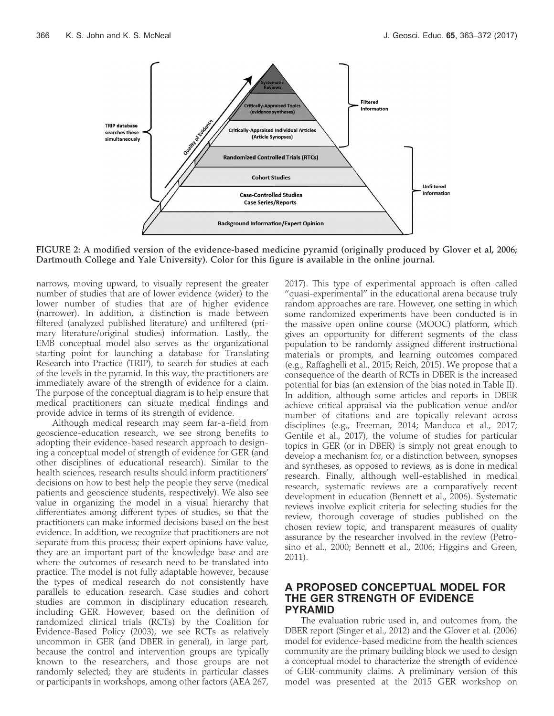

FIGURE 2: A modified version of the evidence-based medicine pyramid (originally produced by Glover et al, 2006; Dartmouth College and Yale University). Color for this figure is available in the online journal.

narrows, moving upward, to visually represent the greater number of studies that are of lower evidence (wider) to the lower number of studies that are of higher evidence (narrower). In addition, a distinction is made between filtered (analyzed published literature) and unfiltered (primary literature/original studies) information. Lastly, the EMB conceptual model also serves as the organizational starting point for launching a database for Translating Research into Practice (TRIP), to search for studies at each of the levels in the pyramid. In this way, the practitioners are immediately aware of the strength of evidence for a claim. The purpose of the conceptual diagram is to help ensure that medical practitioners can situate medical findings and provide advice in terms of its strength of evidence.

Although medical research may seem far-a-field from geoscience-education research, we see strong benefits to adopting their evidence-based research approach to designing a conceptual model of strength of evidence for GER (and other disciplines of educational research). Similar to the health sciences, research results should inform practitioners' decisions on how to best help the people they serve (medical patients and geoscience students, respectively). We also see value in organizing the model in a visual hierarchy that differentiates among different types of studies, so that the practitioners can make informed decisions based on the best evidence. In addition, we recognize that practitioners are not separate from this process; their expert opinions have value, they are an important part of the knowledge base and are where the outcomes of research need to be translated into practice. The model is not fully adaptable however, because the types of medical research do not consistently have parallels to education research. Case studies and cohort studies are common in disciplinary education research, including GER. However, based on the definition of randomized clinical trials (RCTs) by the Coalition for Evidence-Based Policy (2003), we see RCTs as relatively uncommon in GER (and DBER in general), in large part, because the control and intervention groups are typically known to the researchers, and those groups are not randomly selected; they are students in particular classes or participants in workshops, among other factors (AEA 267,

2017). This type of experimental approach is often called ''quasi-experimental'' in the educational arena because truly random approaches are rare. However, one setting in which some randomized experiments have been conducted is in the massive open online course (MOOC) platform, which gives an opportunity for different segments of the class population to be randomly assigned different instructional materials or prompts, and learning outcomes compared (e.g., Raffaghelli et al., 2015; Reich, 2015). We propose that a consequence of the dearth of RCTs in DBER is the increased potential for bias (an extension of the bias noted in Table II). In addition, although some articles and reports in DBER achieve critical appraisal via the publication venue and/or number of citations and are topically relevant across disciplines (e.g., Freeman, 2014; Manduca et al., 2017; Gentile et al., 2017), the volume of studies for particular topics in GER (or in DBER) is simply not great enough to develop a mechanism for, or a distinction between, synopses and syntheses, as opposed to reviews, as is done in medical research. Finally, although well-established in medical research, systematic reviews are a comparatively recent development in education (Bennett et al., 2006). Systematic reviews involve explicit criteria for selecting studies for the review, thorough coverage of studies published on the chosen review topic, and transparent measures of quality assurance by the researcher involved in the review (Petrosino et al., 2000; Bennett et al., 2006; Higgins and Green, 2011).

## A PROPOSED CONCEPTUAL MODEL FOR THE GER STRENGTH OF EVIDENCE PYRAMID

The evaluation rubric used in, and outcomes from, the DBER report (Singer et al., 2012) and the Glover et al. (2006) model for evidence-based medicine from the health sciences community are the primary building block we used to design a conceptual model to characterize the strength of evidence of GER-community claims. A preliminary version of this model was presented at the 2015 GER workshop on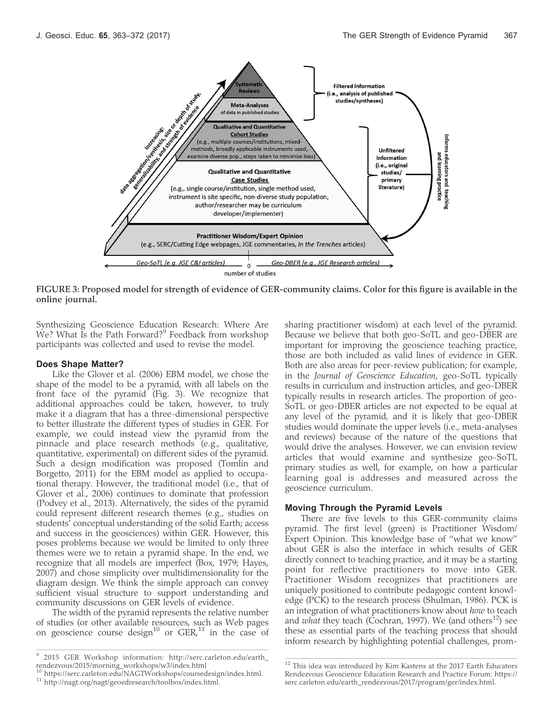

FIGURE 3: Proposed model for strength of evidence of GER-community claims. Color for this figure is available in the online journal.

Synthesizing Geoscience Education Research: Where Are We? What Is the Path Forward?<sup>9</sup> Feedback from workshop participants was collected and used to revise the model.

## Does Shape Matter?

Like the Glover et al. (2006) EBM model, we chose the shape of the model to be a pyramid, with all labels on the front face of the pyramid (Fig. 3). We recognize that additional approaches could be taken, however, to truly make it a diagram that has a three-dimensional perspective to better illustrate the different types of studies in GER. For example, we could instead view the pyramid from the pinnacle and place research methods (e.g., qualitative, quantitative, experimental) on different sides of the pyramid. Such a design modification was proposed (Tomlin and Borgetto, 2011) for the EBM model as applied to occupational therapy. However, the traditional model (i.e., that of Glover et al., 2006) continues to dominate that profession (Podvey et al., 2013). Alternatively, the sides of the pyramid could represent different research themes (e.g., studies on students' conceptual understanding of the solid Earth; access and success in the geosciences) within GER. However, this poses problems because we would be limited to only three themes were we to retain a pyramid shape. In the end, we recognize that all models are imperfect (Box, 1979; Hayes, 2007) and chose simplicity over multidimensionality for the diagram design. We think the simple approach can convey sufficient visual structure to support understanding and community discussions on GER levels of evidence.

The width of the pyramid represents the relative number of studies (or other available resources, such as Web pages on geoscience course design<sup>10</sup> or  $GER<sub>11</sub>$  in the case of

sharing practitioner wisdom) at each level of the pyramid. Because we believe that both geo-SoTL and geo-DBER are important for improving the geoscience teaching practice, those are both included as valid lines of evidence in GER. Both are also areas for peer-review publication; for example, in the Journal of Geoscience Education, geo-SoTL typically results in curriculum and instruction articles, and geo-DBER typically results in research articles. The proportion of geo-SoTL or geo-DBER articles are not expected to be equal at any level of the pyramid, and it is likely that geo-DBER studies would dominate the upper levels (i.e., meta-analyses and reviews) because of the nature of the questions that would drive the analyses. However, we can envision review articles that would examine and synthesize geo-SoTL primary studies as well, for example, on how a particular learning goal is addresses and measured across the geoscience curriculum.

## Moving Through the Pyramid Levels

There are five levels to this GER-community claims pyramid. The first level (green) is Practitioner Wisdom/ Expert Opinion. This knowledge base of ''what we know'' about GER is also the interface in which results of GER directly connect to teaching practice, and it may be a starting point for reflective practitioners to move into GER. Practitioner Wisdom recognizes that practitioners are uniquely positioned to contribute pedagogic content knowledge (PCK) to the research process (Shulman, 1986). PCK is an integration of what practitioners know about how to teach and what they teach (Cochran, 1997). We (and others<sup>12</sup>) see these as essential parts of the teaching process that should inform research by highlighting potential challenges, prom-

<sup>9</sup> 2015 GER Workshop information: http://serc.carleton.edu/earth\_ rendezvous/2015/morning\_workshops/w3/index.html

<sup>&</sup>lt;sup>10</sup> https://serc.carleton.edu/NAGTWorkshops/coursedesign/index.html.<br><sup>11</sup> http://nagt.org/nagt/geoedresearch/toolbox/index.html.

 $^{12}$  This idea was introduced by Kim Kastens at the 2017 Earth Educators Rendezvous Geoscience Education Research and Practice Forum: https:// serc.carleton.edu/earth\_rendezvous/2017/program/ger/index.html.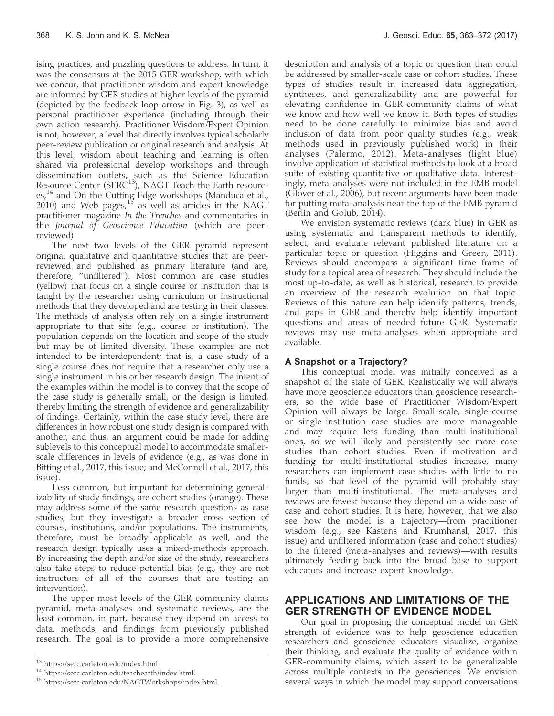ising practices, and puzzling questions to address. In turn, it was the consensus at the 2015 GER workshop, with which we concur, that practitioner wisdom and expert knowledge are informed by GER studies at higher levels of the pyramid (depicted by the feedback loop arrow in Fig. 3), as well as personal practitioner experience (including through their own action research). Practitioner Wisdom/Expert Opinion is not, however, a level that directly involves typical scholarly peer-review publication or original research and analysis. At this level, wisdom about teaching and learning is often shared via professional develop workshops and through dissemination outlets, such as the Science Education Resource Center ( $SERC^{13}$ ), NAGT Teach the Earth resources,<sup>14</sup> and On the Cutting Edge workshops (Manduca et al., 2010) and Web pages, $^{15}$  as well as articles in the NAGT practitioner magazine In the Trenches and commentaries in the Journal of Geoscience Education (which are peerreviewed).

The next two levels of the GER pyramid represent original qualitative and quantitative studies that are peerreviewed and published as primary literature (and are, therefore, ''unfiltered''). Most common are case studies (yellow) that focus on a single course or institution that is taught by the researcher using curriculum or instructional methods that they developed and are testing in their classes. The methods of analysis often rely on a single instrument appropriate to that site (e.g., course or institution). The population depends on the location and scope of the study but may be of limited diversity. These examples are not intended to be interdependent; that is, a case study of a single course does not require that a researcher only use a single instrument in his or her research design. The intent of the examples within the model is to convey that the scope of the case study is generally small, or the design is limited, thereby limiting the strength of evidence and generalizability of findings. Certainly, within the case study level, there are differences in how robust one study design is compared with another, and thus, an argument could be made for adding sublevels to this conceptual model to accommodate smallerscale differences in levels of evidence (e.g., as was done in Bitting et al., 2017, this issue; and McConnell et al., 2017, this issue).

Less common, but important for determining generalizability of study findings, are cohort studies (orange). These may address some of the same research questions as case studies, but they investigate a broader cross section of courses, institutions, and/or populations. The instruments, therefore, must be broadly applicable as well, and the research design typically uses a mixed-methods approach. By increasing the depth and/or size of the study, researchers also take steps to reduce potential bias (e.g., they are not instructors of all of the courses that are testing an intervention).

The upper most levels of the GER-community claims pyramid, meta-analyses and systematic reviews, are the least common, in part, because they depend on access to data, methods, and findings from previously published research. The goal is to provide a more comprehensive description and analysis of a topic or question than could be addressed by smaller-scale case or cohort studies. These types of studies result in increased data aggregation, syntheses, and generalizability and are powerful for elevating confidence in GER-community claims of what we know and how well we know it. Both types of studies need to be done carefully to minimize bias and avoid inclusion of data from poor quality studies (e.g., weak methods used in previously published work) in their analyses (Palermo, 2012). Meta-analyses (light blue) involve application of statistical methods to look at a broad suite of existing quantitative or qualitative data. Interestingly, meta-analyses were not included in the EMB model (Glover et al., 2006), but recent arguments have been made for putting meta-analysis near the top of the EMB pyramid (Berlin and Golub, 2014).

We envision systematic reviews (dark blue) in GER as using systematic and transparent methods to identify, select, and evaluate relevant published literature on a particular topic or question (Higgins and Green, 2011). Reviews should encompass a significant time frame of study for a topical area of research. They should include the most up-to-date, as well as historical, research to provide an overview of the research evolution on that topic. Reviews of this nature can help identify patterns, trends, and gaps in GER and thereby help identify important questions and areas of needed future GER. Systematic reviews may use meta-analyses when appropriate and available.

#### A Snapshot or a Trajectory?

This conceptual model was initially conceived as a snapshot of the state of GER. Realistically we will always have more geoscience educators than geoscience researchers, so the wide base of Practitioner Wisdom/Expert Opinion will always be large. Small-scale, single-course or single-institution case studies are more manageable and may require less funding than multi-institutional ones, so we will likely and persistently see more case studies than cohort studies. Even if motivation and funding for multi-institutional studies increase, many researchers can implement case studies with little to no funds, so that level of the pyramid will probably stay larger than multi-institutional. The meta-analyses and reviews are fewest because they depend on a wide base of case and cohort studies. It is here, however, that we also see how the model is a trajectory—from practitioner wisdom (e.g., see Kastens and Krumhansl, 2017, this issue) and unfiltered information (case and cohort studies) to the filtered (meta-analyses and reviews)—with results ultimately feeding back into the broad base to support educators and increase expert knowledge.

## APPLICATIONS AND LIMITATIONS OF THE GER STRENGTH OF EVIDENCE MODEL

Our goal in proposing the conceptual model on GER strength of evidence was to help geoscience education researchers and geoscience educators visualize, organize their thinking, and evaluate the quality of evidence within GER-community claims, which assert to be generalizable across multiple contexts in the geosciences. We envision several ways in which the model may support conversations

<sup>&</sup>lt;sup>13</sup> https://serc.carleton.edu/index.html.<br><sup>14</sup> https://serc.carleton.edu/teachearth/index.html.<br><sup>15</sup> https://serc.carleton.edu/NAGTWorkshops/index.html.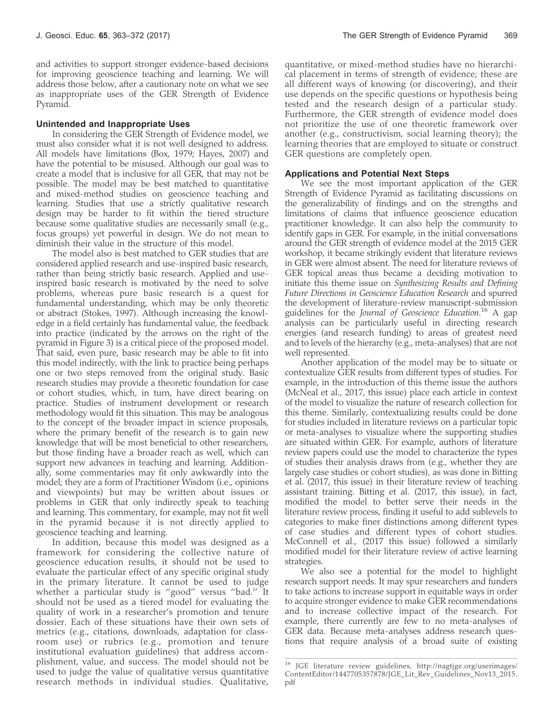and activities to support stronger evidence-based decisions for improving geoscience teaching and learning. We will address those below, after a cautionary note on what we see as inappropriate uses of the GER Strength of Evidence Pyramid.

#### Unintended and Inappropriate Uses

In considering the GER Strength of Evidence model, we must also consider what it is not well designed to address. All models have limitations (Box, 1979; Hayes, 2007) and have the potential to be misused. Although our goal was to create a model that is inclusive for all GER, that may not be possible. The model may be best matched to quantitative and mixed-method studies on geoscience teaching and learning. Studies that use a strictly qualitative research design may be harder to fit within the tiered structure because some qualitative studies are necessarily small (e.g., focus groups) yet powerful in design. We do not mean to diminish their value in the structure of this model.

The model also is best matched to GER studies that are considered applied research and use-inspired basic research, rather than being strictly basic research. Applied and useinspired basic research is motivated by the need to solve problems, whereas pure basic research is a quest for fundamental understanding, which may be only theoretic or abstract (Stokes, 1997). Although increasing the knowledge in a field certainly has fundamental value, the feedback into practice (indicated by the arrows on the right of the pyramid in Figure 3) is a critical piece of the proposed model. That said, even pure, basic research may be able to fit into this model indirectly, with the link to practice being perhaps one or two steps removed from the original study. Basic research studies may provide a theoretic foundation for case or cohort studies, which, in turn, have direct bearing on practice. Studies of instrument development or research methodology would fit this situation. This may be analogous to the concept of the broader impact in science proposals, where the primary benefit of the research is to gain new knowledge that will be most beneficial to other researchers, but those finding have a broader reach as well, which can support new advances in teaching and learning. Additionally, some commentaries may fit only awkwardly into the model; they are a form of Practitioner Wisdom (i.e., opinions and viewpoints) but may be written about issues or problems in GER that only indirectly speak to teaching and learning. This commentary, for example, may not fit well in the pyramid because it is not directly applied to geoscience teaching and learning.

In addition, because this model was designed as a framework for considering the collective nature of geoscience education results, it should not be used to evaluate the particular effect of any specific original study in the primary literature. It cannot be used to judge whether a particular study is ''good'' versus ''bad.'' It should not be used as a tiered model for evaluating the quality of work in a researcher's promotion and tenure dossier. Each of these situations have their own sets of metrics (e.g., citations, downloads, adaptation for classroom use) or rubrics (e.g., promotion and tenure institutional evaluation guidelines) that address accomplishment, value, and success. The model should not be used to judge the value of qualitative versus quantitative research methods in individual studies. Qualitative,

quantitative, or mixed-method studies have no hierarchical placement in terms of strength of evidence; these are all different ways of knowing (or discovering), and their use depends on the specific questions or hypothesis being tested and the research design of a particular study. Furthermore, the GER strength of evidence model does not prioritize the use of one theoretic framework over another (e.g., constructivism, social learning theory); the learning theories that are employed to situate or construct GER questions are completely open.

#### Applications and Potential Next Steps

We see the most important application of the GER Strength of Evidence Pyramid as facilitating discussions on the generalizability of findings and on the strengths and limitations of claims that influence geoscience education practitioner knowledge. It can also help the community to identify gaps in GER. For example, in the initial conversations around the GER strength of evidence model at the 2015 GER workshop, it became strikingly evident that literature reviews in GER were almost absent. The need for literature reviews of GER topical areas thus became a deciding motivation to initiate this theme issue on Synthesizing Results and Defining Future Directions in Geoscience Education Research and spurred the development of literature-review manuscript-submission guidelines for the Journal of Geoscience Education.<sup>16</sup> A gap analysis can be particularly useful in directing research energies (and research funding) to areas of greatest need and to levels of the hierarchy (e.g., meta-analyses) that are not well represented.

Another application of the model may be to situate or contextualize GER results from different types of studies. For example, in the introduction of this theme issue the authors (McNeal et al., 2017, this issue) place each article in context of the model to visualize the nature of research collection for this theme. Similarly, contextualizing results could be done for studies included in literature reviews on a particular topic or meta-analyses to visualize where the supporting studies are situated within GER. For example, authors of literature review papers could use the model to characterize the types of studies their analysis draws from (e.g., whether they are largely case studies or cohort studies), as was done in Bitting et al. (2017, this issue) in their literature review of teaching assistant training. Bitting et al. (2017, this issue), in fact, modified the model to better serve their needs in the literature review process, finding it useful to add sublevels to categories to make finer distinctions among different types of case studies and different types of cohort studies. McConnell et al., (2017 this issue) followed a similarly modified model for their literature review of active learning strategies.

We also see a potential for the model to highlight research support needs. It may spur researchers and funders to take actions to increase support in equitable ways in order to acquire stronger evidence to make GER recommendations and to increase collective impact of the research. For example, there currently are few to no meta-analyses of GER data. Because meta-analyses address research questions that require analysis of a broad suite of existing

<sup>16</sup> JGE literature review guidelines, http://nagtjge.org/userimages/ ContentEditor/1447705357878/JGE\_Lit\_Rev\_Guidelines\_Nov13\_2015. pdf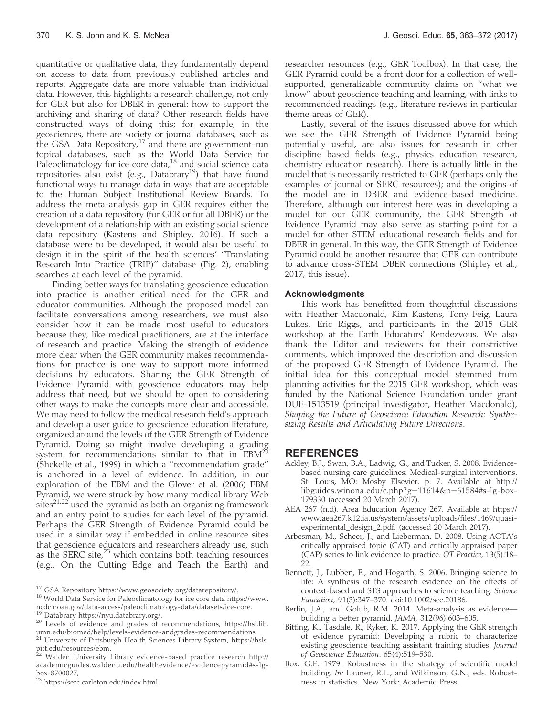quantitative or qualitative data, they fundamentally depend on access to data from previously published articles and reports. Aggregate data are more valuable than individual data. However, this highlights a research challenge, not only for GER but also for DBER in general: how to support the archiving and sharing of data? Other research fields have constructed ways of doing this; for example, in the geosciences, there are society or journal databases, such as the GSA Data Repository, $17$  and there are government-run topical databases, such as the World Data Service for Paleoclimatology for ice core data,<sup>18</sup> and social science data repositories also exist (e.g., Databrary<sup>19</sup>) that have found functional ways to manage data in ways that are acceptable to the Human Subject Institutional Review Boards. To address the meta-analysis gap in GER requires either the creation of a data repository (for GER or for all DBER) or the development of a relationship with an existing social science data repository (Kastens and Shipley, 2016). If such a database were to be developed, it would also be useful to design it in the spirit of the health sciences' ''Translating Research Into Practice (TRIP)'' database (Fig. 2), enabling searches at each level of the pyramid.

Finding better ways for translating geoscience education into practice is another critical need for the GER and educator communities. Although the proposed model can facilitate conversations among researchers, we must also consider how it can be made most useful to educators because they, like medical practitioners, are at the interface of research and practice. Making the strength of evidence more clear when the GER community makes recommendations for practice is one way to support more informed decisions by educators. Sharing the GER Strength of Evidence Pyramid with geoscience educators may help address that need, but we should be open to considering other ways to make the concepts more clear and accessible. We may need to follow the medical research field's approach and develop a user guide to geoscience education literature, organized around the levels of the GER Strength of Evidence Pyramid. Doing so might involve developing a grading system for recommendations similar to that in  $\text{EBM}^{\text{20}}$ (Shekelle et al., 1999) in which a ''recommendation grade'' is anchored in a level of evidence. In addition, in our exploration of the EBM and the Glover et al. (2006) EBM Pyramid, we were struck by how many medical library Web sites $^{21,22}$  used the pyramid as both an organizing framework and an entry point to studies for each level of the pyramid. Perhaps the GER Strength of Evidence Pyramid could be used in a similar way if embedded in online resource sites that geoscience educators and researchers already use, such as the SERC site, $23$  which contains both teaching resources (e.g., On the Cutting Edge and Teach the Earth) and

<sup>20</sup> Levels of evidence and grades of recommendations, https://hsl.lib.

researcher resources (e.g., GER Toolbox). In that case, the GER Pyramid could be a front door for a collection of wellsupported, generalizable community claims on ''what we know'' about geoscience teaching and learning, with links to recommended readings (e.g., literature reviews in particular theme areas of GER).

Lastly, several of the issues discussed above for which we see the GER Strength of Evidence Pyramid being potentially useful, are also issues for research in other discipline based fields (e.g., physics education research, chemistry education research). There is actually little in the model that is necessarily restricted to GER (perhaps only the examples of journal or SERC resources); and the origins of the model are in DBER and evidence-based medicine. Therefore, although our interest here was in developing a model for our GER community, the GER Strength of Evidence Pyramid may also serve as starting point for a model for other STEM educational research fields and for DBER in general. In this way, the GER Strength of Evidence Pyramid could be another resource that GER can contribute to advance cross-STEM DBER connections (Shipley et al., 2017, this issue).

#### Acknowledgments

This work has benefitted from thoughtful discussions with Heather Macdonald, Kim Kastens, Tony Feig, Laura Lukes, Eric Riggs, and participants in the 2015 GER workshop at the Earth Educators' Rendezvous. We also thank the Editor and reviewers for their constrictive comments, which improved the description and discussion of the proposed GER Strength of Evidence Pyramid. The initial idea for this conceptual model stemmed from planning activities for the 2015 GER workshop, which was funded by the National Science Foundation under grant DUE-1513519 (principal investigator, Heather Macdonald), Shaping the Future of Geoscience Education Research: Synthesizing Results and Articulating Future Directions.

## REFERENCES

- Ackley, B.J., Swan, B.A., Ladwig, G., and Tucker, S. 2008. Evidencebased nursing care guidelines: Medical-surgical interventions. St. Louis, MO: Mosby Elsevier. p. 7. Available at http:// libguides.winona.edu/c.php?g=11614&p=61584#s-lg-box-179330 (accessed 20 March 2017).
- AEA 267 (n.d). Area Education Agency 267. Available at https:// www.aea267.k12.ia.us/system/assets/uploads/files/1469/quasiexperimental\_design\_2.pdf. (accessed 20 March 2017).
- Arbesman, M., Scheer, J., and Lieberman, D. 2008. Using AOTA's critically appraised topic (CAT) and critically appraised paper (CAP) series to link evidence to practice. OT Practice, 13(5):18– 22.
- Bennett, J., Lubben, F., and Hogarth, S. 2006. Bringing science to life: A synthesis of the research evidence on the effects of context-based and STS approaches to science teaching. Science Education, 91(3):347–370. doi:10.1002/sce.20186.
- Berlin, J.A., and Golub, R.M. 2014. Meta-analysis as evidence building a better pyramid. JAMA, 312(96):603-605.
- Bitting, K., Tasdale, R., Ryker, K. 2017. Applying the GER strength of evidence pyramid: Developing a rubric to characterize existing geoscience teaching assistant training studies. Journal of Geoscience Education. 65(4):519–530.
- Box, G.E. 1979. Robustness in the strategy of scientific model building. In: Launer, R.L., and Wilkinson, G.N., eds. Robustness in statistics. New York: Academic Press.

<sup>&</sup>lt;sup>17</sup> GSA Repository https://www.geosociety.org/datarepository/.<br><sup>18</sup> World Data Service for Paleoclimatology for ice core data https://www.

ncdc.noaa.gov/data-access/paleoclimatology-data/datasets/ice-core.<br><sup>19</sup> Databrary https://nyu.databrary.org/.

umn.edu/biomed/help/levels-evidence-andgrades-recommendations<br><sup>21</sup> University of Pittsburgh Health Sciences Library System, https://hsls.

pitt.edu/resources/ebm.<br><sup>22</sup> Walden University Library evidence-based practice research http:// academicguides.waldenu.edu/healthevidence/evidencepyramid#s-lgbox-8700027,

<sup>23</sup> https://serc.carleton.edu/index.html.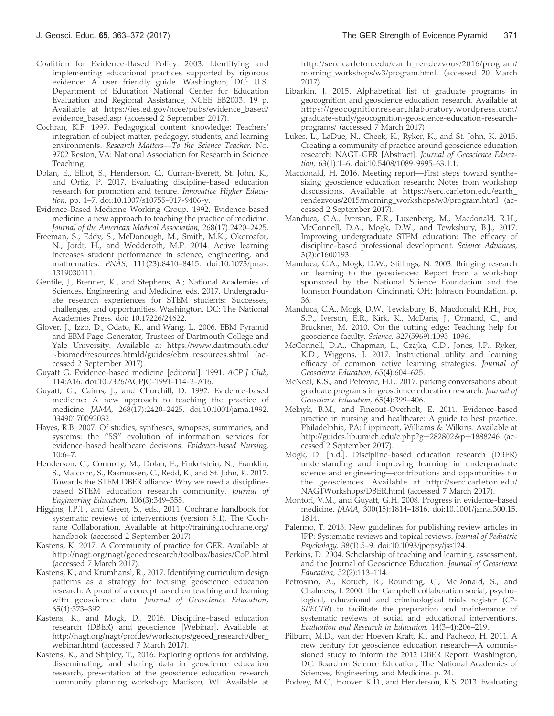- Coalition for Evidence-Based Policy. 2003. Identifying and implementing educational practices supported by rigorous evidence: A user friendly guide. Washington, DC: U.S. Department of Education National Center for Education Evaluation and Regional Assistance, NCEE EB2003. 19 p. Available at https://ies.ed.gov/ncee/pubs/evidence\_based/ evidence\_based.asp (accessed 2 September 2017).
- Cochran, K.F. 1997. Pedagogical content knowledge: Teachers' integration of subject matter, pedagogy, students, and learning environments. Research Matters—To the Science Teacher, No. 9702 Reston, VA: National Association for Research in Science Teaching.
- Dolan, E., Elliot, S., Henderson, C., Curran-Everett, St. John, K., and Ortiz, P. 2017. Evaluating discipline-based education research for promotion and tenure. Innovative Higher Education, pp. 1–7. doi:10.1007/s10755-017-9406-y.
- Evidence-Based Medicine Working Group. 1992. Evidence-based medicine: a new approach to teaching the practice of medicine. Journal of the American Medical Association, 268(17):2420–2425.
- Freeman, S., Eddy, S., McDonough, M., Smith, M.K., Okoroafor, N., Jordt, H., and Wedderoth, M.P. 2014. Active learning increases student performance in science, engineering, and mathematics. PNAS, 111(23):8410–8415. doi:10.1073/pnas. 1319030111.
- Gentile, J., Brenner, K., and Stephens, A.; National Academies of Sciences, Engineering, and Medicine, eds. 2017. Undergraduate research experiences for STEM students: Successes, challenges, and opportunities. Washington, DC: The National Academies Press. doi: 10.17226/24622.
- Glover, J., Izzo, D., Odato, K., and Wang, L. 2006. EBM Pyramid and EBM Page Generator, Trustees of Dartmouth College and Yale University. Available at https://www.dartmouth.edu/ ~biomed/resources.htmld/guides/ebm\_resources.shtml (accessed 2 September 2017).
- Guyatt G. Evidence-based medicine [editorial]. 1991. ACP J Club, 114:A16. doi:10.7326/ACPJC-1991-114-2-A16.
- Guyatt, G., Cairns, J., and Churchill, D. 1992. Evidence-based medicine: A new approach to teaching the practice of medicine. JAMA, 268(17):2420–2425. doi:10.1001/jama.1992. 03490170092032.
- Hayes, R.B. 2007. Of studies, syntheses, synopses, summaries, and systems: the ''5S'' evolution of information services for evidence-based healthcare decisions. Evidence-based Nursing, 10:6–7.
- Henderson, C., Connolly, M., Dolan, E., Finkelstein, N., Franklin, S., Malcolm, S., Rasmussen, C., Redd, K., and St. John, K. 2017. Towards the STEM DBER alliance: Why we need a disciplinebased STEM education research community. Journal of Engineering Education, 106(3):349–355.
- Higgins, J.P.T., and Green, S., eds., 2011. Cochrane handbook for systematic reviews of interventions (version 5.1). The Cochrane Collaboration. Available at http://training.cochrane.org/ handbook (accessed 2 September 2017)
- Kastens, K. 2017. A Community of practice for GER. Available at http://nagt.org/nagt/geoedresearch/toolbox/basics/CoP.html (accessed 7 March 2017).
- Kastens, K., and Krumhansl, R., 2017. Identifying curriculum design patterns as a strategy for focusing geoscience education research: A proof of a concept based on teaching and learning with geoscience data. Journal of Geoscience Education, 65(4):373–392.
- Kastens, K., and Mogk, D., 2016. Discipline-based education research (DBER) and geoscience [Webinar]. Available at http://nagt.org/nagt/profdev/workshops/geoed\_research/dber\_ webinar.html (accessed 7 March 2017).
- Kastens, K., and Shipley, T., 2016. Exploring options for archiving, disseminating, and sharing data in geoscience education research, presentation at the geoscience education research community planning workshop; Madison, WI. Available at

http://serc.carleton.edu/earth\_rendezvous/2016/program/ morning\_workshops/w3/program.html. (accessed 20 March 2017).

- Libarkin, J. 2015. Alphabetical list of graduate programs in geocognition and geoscience education research. Available at https://geocognitionresearchlaboratory.wordpress.com/ graduate-study/geocognition-geoscience-education-researchprograms/ (accessed 7 March 2017).
- Lukes, L., LaDue, N., Cheek, K., Ryker, K., and St. John, K. 2015. Creating a community of practice around geoscience education research: NAGT-GER [Abstract]. Journal of Geoscience Education, 63(1):1–6. doi:10.5408/1089-9995-63.1.1.
- Macdonald, H. 2016. Meeting report—First steps toward synthesizing geoscience education research: Notes from workshop discussions. Available at https://serc.carleton.edu/earth\_ rendezvous/2015/morning\_workshops/w3/program.html (accessed 2 September 2017).
- Manduca, C.A., Iverson, E.R., Luxenberg, M., Macdonald, R.H., McConnell, D.A., Mogk, D.W., and Tewksbury, B.J., 2017. Improving undergraduate STEM education: The efficacy of discipline-based professional development. Science Advances, 3(2):e1600193.
- Manduca, C.A., Mogk, D.W., Stillings, N. 2003. Bringing research on learning to the geosciences: Report from a workshop sponsored by the National Science Foundation and the Johnson Foundation. Cincinnati, OH: Johnson Foundation. p. 36.
- Manduca, C.A., Mogk, D.W., Tewksbury, B., Macdonald, R.H., Fox, S.P., Iverson, E.R., Kirk, K., McDaris, J., Ormand, C., and Bruckner, M. 2010. On the cutting edge: Teaching help for geoscience faculty. Science, 327(5969):1095-1096.
- McConnell, D.A., Chapman, L., Czajka, C.D., Jones, J.P., Ryker, K.D., Wiggens, J. 2017. Instructional utility and learning efficacy of common active learning strategies. Journal of Geoscience Education, 65(4):604–625.
- McNeal, K.S., and Petcovic, H.L. 2017. parking conversations about graduate programs in geoscience education research. Journal of Geoscience Education, 65(4):399–406.
- Melnyk, B.M., and Fineout-Overholt, E. 2011. Evidence-based practice in nursing and healthcare: A guide to best practice. Philadelphia, PA: Lippincott, Williams & Wilkins. Available at http://guides.lib.umich.edu/c.php?g=282802&p=1888246 (accessed 2 September 2017).
- Mogk, D. [n.d.]. Discipline-based education research (DBER) understanding and improving learning in undergraduate science and engineering—contributions and opportunities for the geosciences. Available at http://serc.carleton.edu/ NAGTWorkshops/DBER.html (accessed 7 March 2017).
- Montori, V.M., and Guyatt, G.H. 2008. Progress in evidence-based medicine. JAMA, 300(15):1814–1816. doi:10.1001/jama.300.15. 1814.
- Palermo, T. 2013. New guidelines for publishing review articles in JPP: Systematic reviews and topical reviews. Journal of Pediatric Psychology, 38(1):5–9. doi:10.1093/jpepsy/jss124.
- Perkins, D. 2004. Scholarship of teaching and learning, assessment, and the Journal of Geoscience Education. Journal of Geoscience Education, 52(2):113–114.
- Petrosino, A., Roruch, R., Rounding, C., McDonald, S., and Chalmers, I. 2000. The Campbell collaboration social, psychological, educational and criminological trials register (C2- SPECTR) to facilitate the preparation and maintenance of systematic reviews of social and educational interventions. Evaluation and Research in Education, 14(3–4):206–219.
- Pilburn, M.D., van der Hoeven Kraft, K., and Pacheco, H. 2011. A new century for geoscience education research—A commissioned study to inform the 2012 DBER Report. Washington, DC: Board on Science Education, The National Academies of Sciences, Engineering, and Medicine. p. 24.
- Podvey, M.C., Hoover, K.D., and Henderson, K.S. 2013. Evaluating